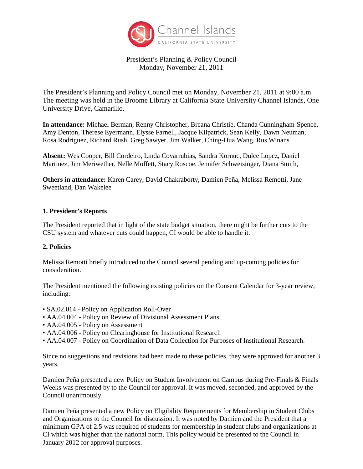

# President's Planning & Policy Council Monday, November 21, 2011

The President's Planning and Policy Council met on Monday, November 21, 2011 at 9:00 a.m. The meeting was held in the Broome Library at California State University Channel Islands, One University Drive, Camarillo.

**In attendance:** Michael Berman, Renny Christopher, Breana Christie, Chanda Cunningham-Spence, Amy Denton, Therese Eyermann, Elysse Farnell, Jacque Kilpatrick, Sean Kelly, Dawn Neuman, Rosa Rodriguez, Richard Rush, Greg Sawyer, Jim Walker, Ching-Hua Wang, Rus Winans

**Absent:** Wes Cooper, Bill Cordeiro, Linda Covarrubias, Sandra Kornuc, Dulce Lopez, Daniel Martinez, Jim Meriwether, Nelle Moffett, Stacy Roscoe, Jennifer Schweisinger, Diana Smith,

**Others in attendance:** Karen Carey, David Chakraborty, Damien Peña, Melissa Remotti, Jane Sweetland, Dan Wakelee

#### **1. President's Reports**

The President reported that in light of the state budget situation, there might be further cuts to the CSU system and whatever cuts could happen, CI would be able to handle it.

### **2. Policies**

Melissa Remotti briefly introduced to the Council several pending and up-coming policies for consideration.

The President mentioned the following existing policies on the Consent Calendar for 3-year review, including:

- SA.02.014 Policy on Application Roll-Over
- AA.04.004 Policy on Review of Divisional Assessment Plans
- AA.04.005 Policy on Assessment
- AA.04.006 Policy on Clearinghouse for Institutional Research
- AA.04.007 Policy on Coordination of Data Collection for Purposes of Institutional Research.

Since no suggestions and revisions had been made to these policies, they were approved for another 3 years.

Damien Peña presented a new Policy on Student Involvement on Campus during Pre-Finals & Finals Weeks was presented by to the Council for approval. It was moved, seconded, and approved by the Council unanimously.

Damien Peña presented a new Policy on Eligibility Requirements for Membership in Student Clubs and Organizations to the Council for discussion. It was noted by Damien and the President that a minimum GPA of 2.5 was required of students for membership in student clubs and organizations at CI which was higher than the national norm. This policy would be presented to the Council in January 2012 for approval purposes.